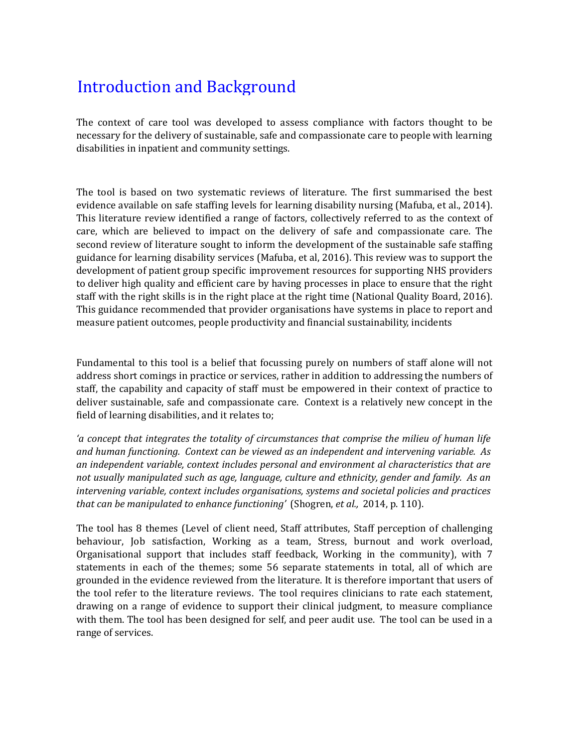## Introduction and Background

The context of care tool was developed to assess compliance with factors thought to be necessary for the delivery of sustainable, safe and compassionate care to people with learning disabilities in inpatient and community settings.

The tool is based on two systematic reviews of literature. The first summarised the best evidence available on safe staffing levels for learning disability nursing (Mafuba, et al., 2014). This literature review identified a range of factors, collectively referred to as the context of care, which are believed to impact on the delivery of safe and compassionate care. The second review of literature sought to inform the development of the sustainable safe staffing guidance for learning disability services (Mafuba, et al, 2016). This review was to support the development of patient group specific improvement resources for supporting NHS providers to deliver high quality and efficient care by having processes in place to ensure that the right staff with the right skills is in the right place at the right time (National Quality Board, 2016). This guidance recommended that provider organisations have systems in place to report and measure patient outcomes, people productivity and financial sustainability, incidents

Fundamental to this tool is a belief that focussing purely on numbers of staff alone will not address short comings in practice or services, rather in addition to addressing the numbers of staff, the capability and capacity of staff must be empowered in their context of practice to deliver sustainable, safe and compassionate care. Context is a relatively new concept in the field of learning disabilities, and it relates to;

*'a concept that integrates the totality of circumstances that comprise the milieu of human life and human functioning. Context can be viewed as an independent and intervening variable. As an independent variable, context includes personal and environment al characteristics that are not usually manipulated such as age, language, culture and ethnicity, gender and family. As an intervening variable, context includes organisations, systems and societal policies and practices that can be manipulated to enhance functioning'* (Shogren, *et al.,* 2014, p. 110).

The tool has 8 themes (Level of client need, Staff attributes, Staff perception of challenging behaviour, Job satisfaction, Working as a team, Stress, burnout and work overload, Organisational support that includes staff feedback, Working in the community), with 7 statements in each of the themes; some 56 separate statements in total, all of which are grounded in the evidence reviewed from the literature. It is therefore important that users of the tool refer to the literature reviews. The tool requires clinicians to rate each statement, drawing on a range of evidence to support their clinical judgment, to measure compliance with them. The tool has been designed for self, and peer audit use. The tool can be used in a range of services.